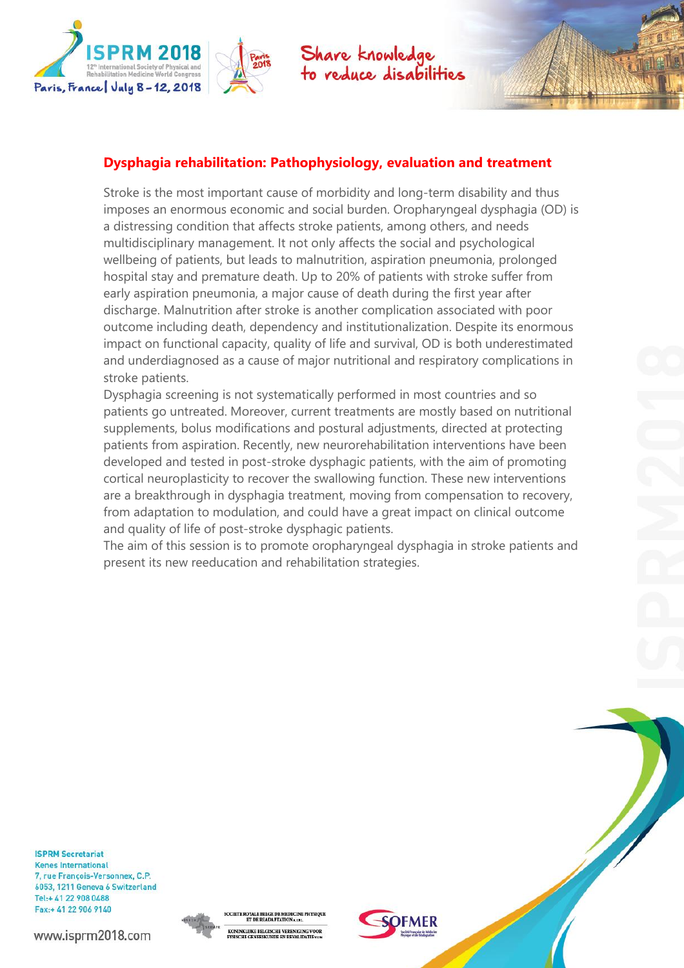

## **Dysphagia rehabilitation: Pathophysiology, evaluation and treatment**

Stroke is the most important cause of morbidity and long-term disability and thus imposes an enormous economic and social burden. Oropharyngeal dysphagia (OD) is a distressing condition that affects stroke patients, among others, and needs multidisciplinary management. It not only affects the social and psychological wellbeing of patients, but leads to malnutrition, aspiration pneumonia, prolonged hospital stay and premature death. Up to 20% of patients with stroke suffer from early aspiration pneumonia, a major cause of death during the first year after discharge. Malnutrition after stroke is another complication associated with poor outcome including death, dependency and institutionalization. Despite its enormous impact on functional capacity, quality of life and survival, OD is both underestimated and underdiagnosed as a cause of major nutritional and respiratory complications in stroke patients.

Dysphagia screening is not systematically performed in most countries and so patients go untreated. Moreover, current treatments are mostly based on nutritional supplements, bolus modifications and postural adjustments, directed at protecting patients from aspiration. Recently, new neurorehabilitation interventions have been developed and tested in post-stroke dysphagic patients, with the aim of promoting cortical neuroplasticity to recover the swallowing function. These new interventions are a breakthrough in dysphagia treatment, moving from compensation to recovery, from adaptation to modulation, and could have a great impact on clinical outcome and quality of life of post-stroke dysphagic patients.

The aim of this session is to promote oropharyngeal dysphagia in stroke patients and present its new reeducation and rehabilitation strategies.

**ISPRM Secretariat Kenes International** 7, rue François-Versonnex, C.P. 6053, 1211 Geneva 6 Switzerland Tel:+ 41 22 908 0488 Fax:+ 41 22 906 9140



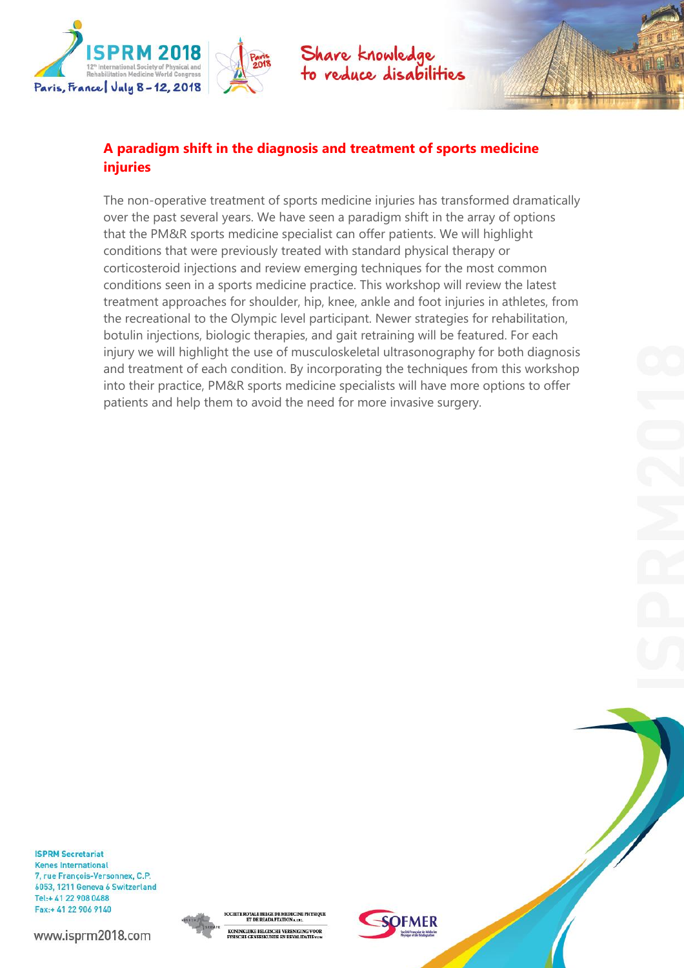

# **A paradigm shift in the diagnosis and treatment of sports medicine injuries**

The non-operative treatment of sports medicine injuries has transformed dramatically over the past several years. We have seen a paradigm shift in the array of options that the PM&R sports medicine specialist can offer patients. We will highlight conditions that were previously treated with standard physical therapy or corticosteroid injections and review emerging techniques for the most common conditions seen in a sports medicine practice. This workshop will review the latest treatment approaches for shoulder, hip, knee, ankle and foot injuries in athletes, from the recreational to the Olympic level participant. Newer strategies for rehabilitation, botulin injections, biologic therapies, and gait retraining will be featured. For each injury we will highlight the use of musculoskeletal ultrasonography for both diagnosis and treatment of each condition. By incorporating the techniques from this workshop into their practice, PM&R sports medicine specialists will have more options to offer patients and help them to avoid the need for more invasive surgery.

**ISPRM Secretariat Kenes International** 7, rue François-Versonnex, C.P. 6053, 1211 Geneva 6 Switzerland Tel:+ 41 22 908 0488 Fax:+ 41 22 906 9140



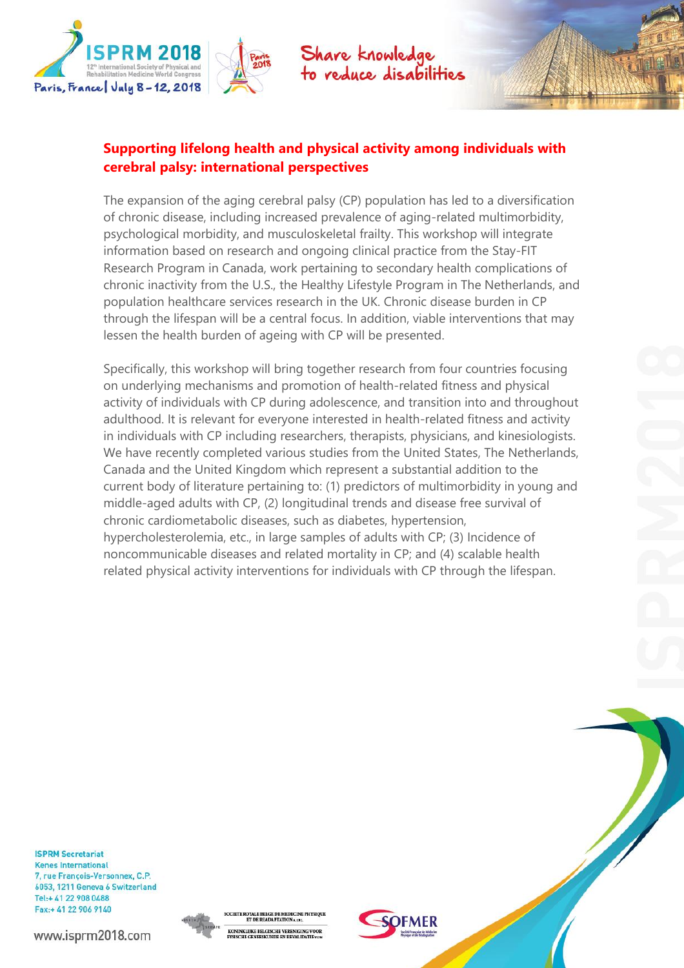

## **Supporting lifelong health and physical activity among individuals with cerebral palsy: international perspectives**

The expansion of the aging cerebral palsy (CP) population has led to a diversification of chronic disease, including increased prevalence of aging-related multimorbidity, psychological morbidity, and musculoskeletal frailty. This workshop will integrate information based on research and ongoing clinical practice from the Stay-FIT Research Program in Canada, work pertaining to secondary health complications of chronic inactivity from the U.S., the Healthy Lifestyle Program in The Netherlands, and population healthcare services research in the UK. Chronic disease burden in CP through the lifespan will be a central focus. In addition, viable interventions that may lessen the health burden of ageing with CP will be presented.

Specifically, this workshop will bring together research from four countries focusing on underlying mechanisms and promotion of health-related fitness and physical activity of individuals with CP during adolescence, and transition into and throughout adulthood. It is relevant for everyone interested in health-related fitness and activity in individuals with CP including researchers, therapists, physicians, and kinesiologists. We have recently completed various studies from the United States, The Netherlands, Canada and the United Kingdom which represent a substantial addition to the current body of literature pertaining to: (1) predictors of multimorbidity in young and middle-aged adults with CP, (2) longitudinal trends and disease free survival of chronic cardiometabolic diseases, such as diabetes, hypertension, hypercholesterolemia, etc., in large samples of adults with CP; (3) Incidence of noncommunicable diseases and related mortality in CP; and (4) scalable health related physical activity interventions for individuals with CP through the lifespan.

**ISPRM Secretariat Kenes International** 7, rue François-Versonnex, C.P. 6053, 1211 Geneva 6 Switzerland Tel:+ 41 22 908 0488 Fax:+ 41 22 906 9140



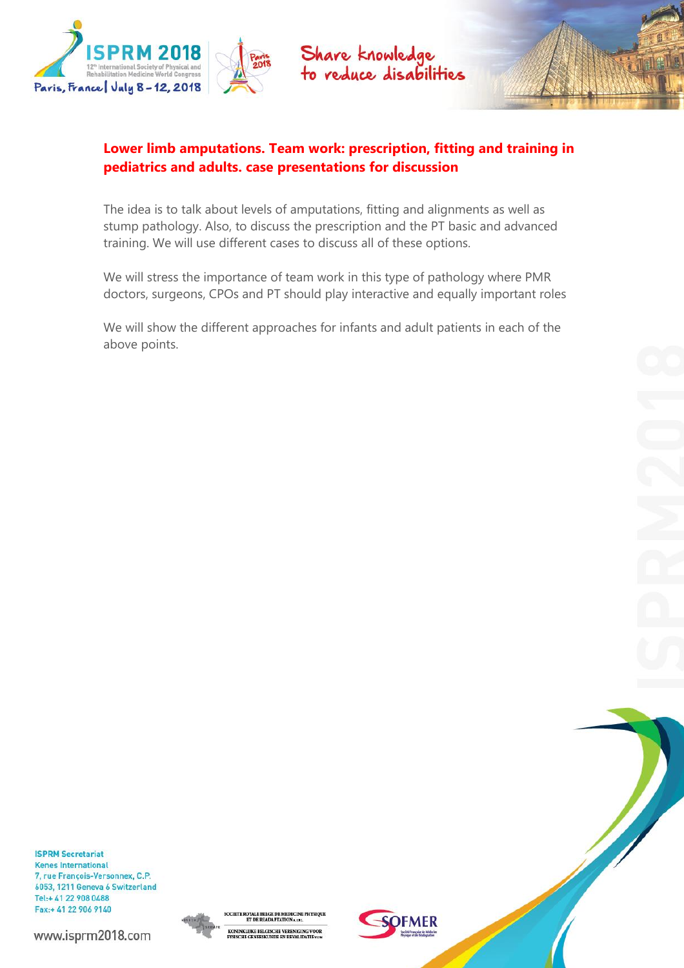

## **Lower limb amputations. Team work: prescription, fitting and training in pediatrics and adults. case presentations for discussion**

The idea is to talk about levels of amputations, fitting and alignments as well as stump pathology. Also, to discuss the prescription and the PT basic and advanced training. We will use different cases to discuss all of these options.

We will stress the importance of team work in this type of pathology where PMR doctors, surgeons, CPOs and PT should play interactive and equally important roles

We will show the different approaches for infants and adult patients in each of the above points.

**ISPRM Secretariat Kenes International** 7, rue François-Versonnex, C.P. 6053, 1211 Geneva 6 Switzerland Tel:+ 41 22 908 0488 Fax:+ 41 22 906 9140



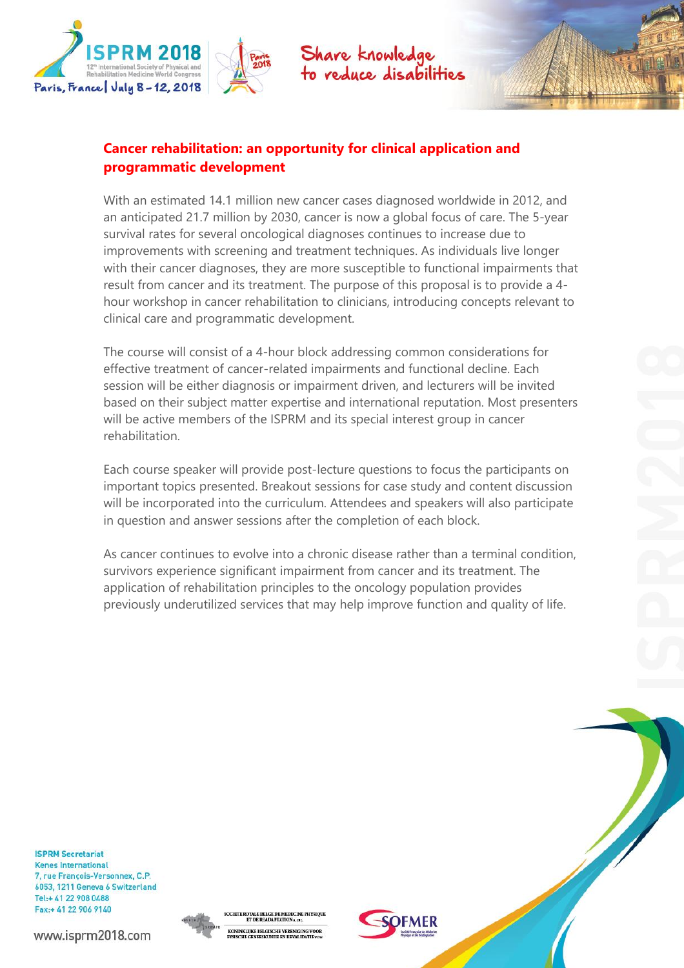

With an estimated 14.1 million new cancer cases diagnosed worldwide in 2012, and an anticipated 21.7 million by 2030, cancer is now a global focus of care. The 5-year survival rates for several oncological diagnoses continues to increase due to improvements with screening and treatment techniques. As individuals live longer with their cancer diagnoses, they are more susceptible to functional impairments that result from cancer and its treatment. The purpose of this proposal is to provide a 4 hour workshop in cancer rehabilitation to clinicians, introducing concepts relevant to clinical care and programmatic development.

The course will consist of a 4-hour block addressing common considerations for effective treatment of cancer-related impairments and functional decline. Each session will be either diagnosis or impairment driven, and lecturers will be invited based on their subject matter expertise and international reputation. Most presenters will be active members of the ISPRM and its special interest group in cancer rehabilitation.

Each course speaker will provide post-lecture questions to focus the participants on important topics presented. Breakout sessions for case study and content discussion will be incorporated into the curriculum. Attendees and speakers will also participate in question and answer sessions after the completion of each block.

As cancer continues to evolve into a chronic disease rather than a terminal condition, survivors experience significant impairment from cancer and its treatment. The application of rehabilitation principles to the oncology population provides previously underutilized services that may help improve function and quality of life.

**ISPRM Secretariat Kenes International** 7, rue François-Versonnex, C.P. 6053, 1211 Geneva 6 Switzerland Tel:+ 41 22 908 0488 Fax:+ 41 22 906 9140



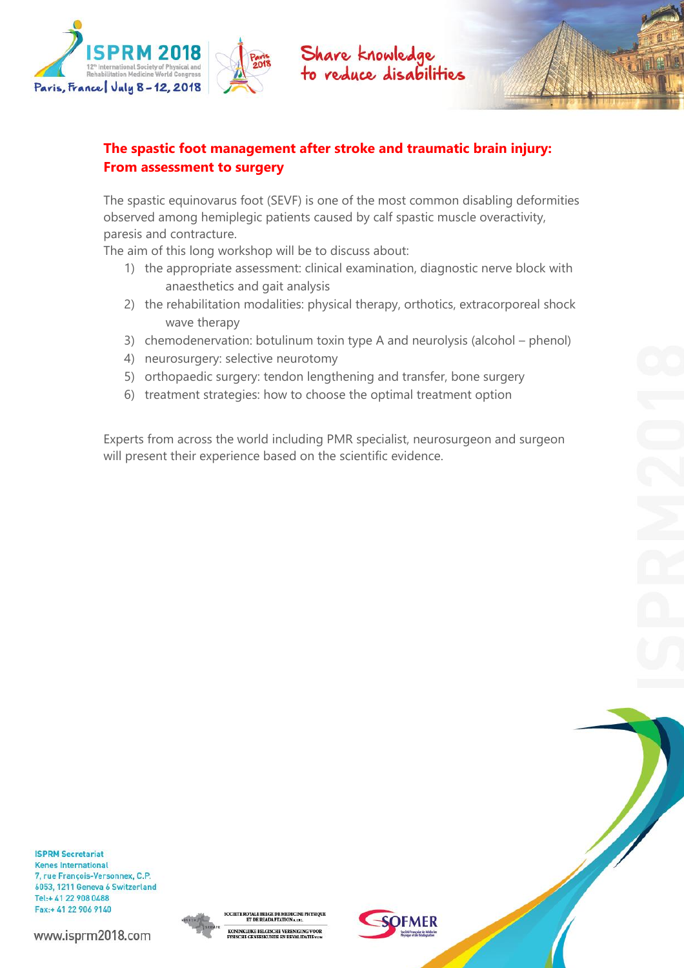

# **The spastic foot management after stroke and traumatic brain injury: From assessment to surgery**

The spastic equinovarus foot (SEVF) is one of the most common disabling deformities observed among hemiplegic patients caused by calf spastic muscle overactivity, paresis and contracture.

The aim of this long workshop will be to discuss about:

- 1) the appropriate assessment: clinical examination, diagnostic nerve block with anaesthetics and gait analysis
- 2) the rehabilitation modalities: physical therapy, orthotics, extracorporeal shock wave therapy
- 3) chemodenervation: botulinum toxin type A and neurolysis (alcohol phenol)
- 4) neurosurgery: selective neurotomy
- 5) orthopaedic surgery: tendon lengthening and transfer, bone surgery
- 6) treatment strategies: how to choose the optimal treatment option

Experts from across the world including PMR specialist, neurosurgeon and surgeon will present their experience based on the scientific evidence.

**ISPRM Secretariat Kenes International** 7, rue François-Versonnex, C.P. 6053, 1211 Geneva 6 Switzerland Tel:+ 41 22 908 0488 Fax:+ 41 22 906 9140



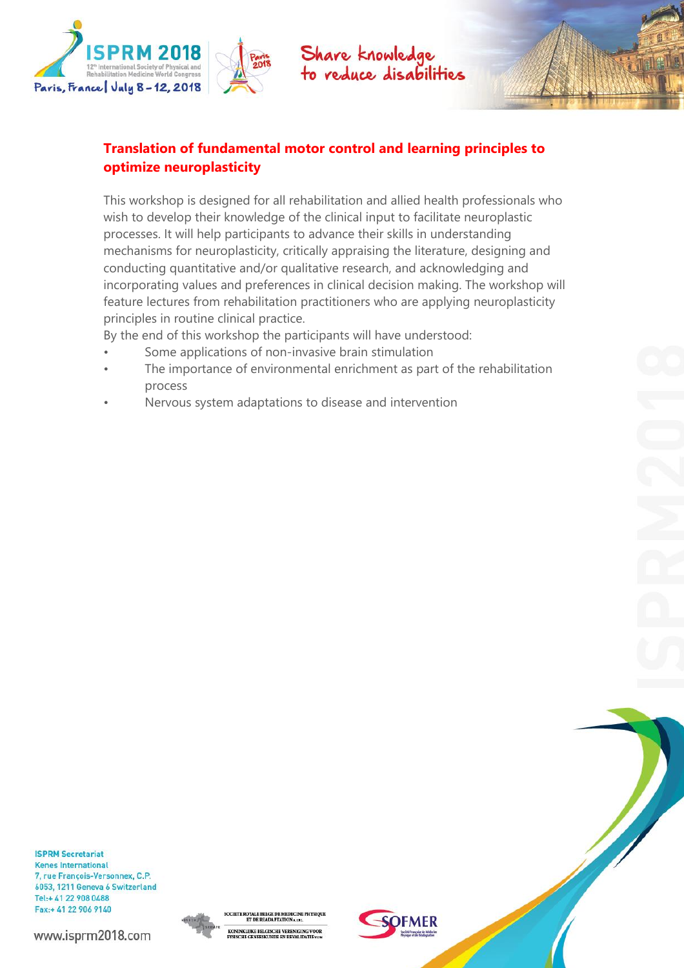

# **Translation of fundamental motor control and learning principles to optimize neuroplasticity**

This workshop is designed for all rehabilitation and allied health professionals who wish to develop their knowledge of the clinical input to facilitate neuroplastic processes. It will help participants to advance their skills in understanding mechanisms for neuroplasticity, critically appraising the literature, designing and conducting quantitative and/or qualitative research, and acknowledging and incorporating values and preferences in clinical decision making. The workshop will feature lectures from rehabilitation practitioners who are applying neuroplasticity principles in routine clinical practice.

By the end of this workshop the participants will have understood:

- Some applications of non-invasive brain stimulation
- The importance of environmental enrichment as part of the rehabilitation process
- Nervous system adaptations to disease and intervention

**ISPRM Secretariat Kenes International** 7, rue François-Versonnex, C.P. 6053, 1211 Geneva 6 Switzerland Tel:+ 41 22 908 0488 Fax:+ 41 22 906 9140



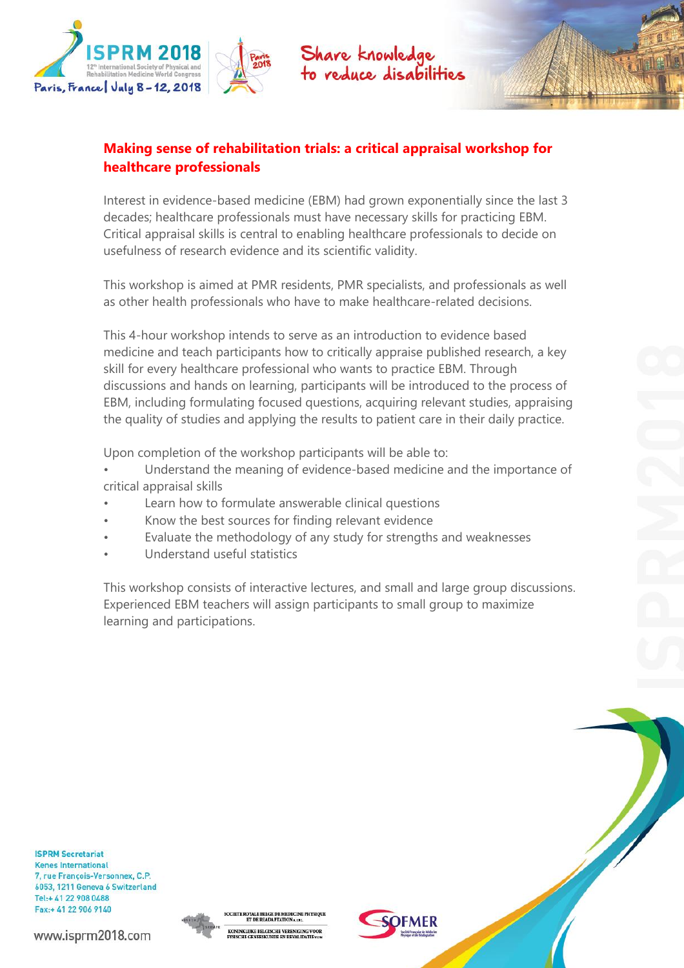

# **Making sense of rehabilitation trials: a critical appraisal workshop for healthcare professionals**

Interest in evidence-based medicine (EBM) had grown exponentially since the last 3 decades; healthcare professionals must have necessary skills for practicing EBM. Critical appraisal skills is central to enabling healthcare professionals to decide on usefulness of research evidence and its scientific validity.

This workshop is aimed at PMR residents, PMR specialists, and professionals as well as other health professionals who have to make healthcare-related decisions.

This 4-hour workshop intends to serve as an introduction to evidence based medicine and teach participants how to critically appraise published research, a key skill for every healthcare professional who wants to practice EBM. Through discussions and hands on learning, participants will be introduced to the process of EBM, including formulating focused questions, acquiring relevant studies, appraising the quality of studies and applying the results to patient care in their daily practice.

Upon completion of the workshop participants will be able to:

- Understand the meaning of evidence-based medicine and the importance of critical appraisal skills
- Learn how to formulate answerable clinical questions
- Know the best sources for finding relevant evidence
- Evaluate the methodology of any study for strengths and weaknesses
- Understand useful statistics

This workshop consists of interactive lectures, and small and large group discussions. Experienced EBM teachers will assign participants to small group to maximize learning and participations.

**ISPRM Secretariat Kenes International** 7, rue François-Versonnex, C.P. 6053, 1211 Geneva 6 Switzerland Tel:+ 41 22 908 0488 Fax:+ 41 22 906 9140